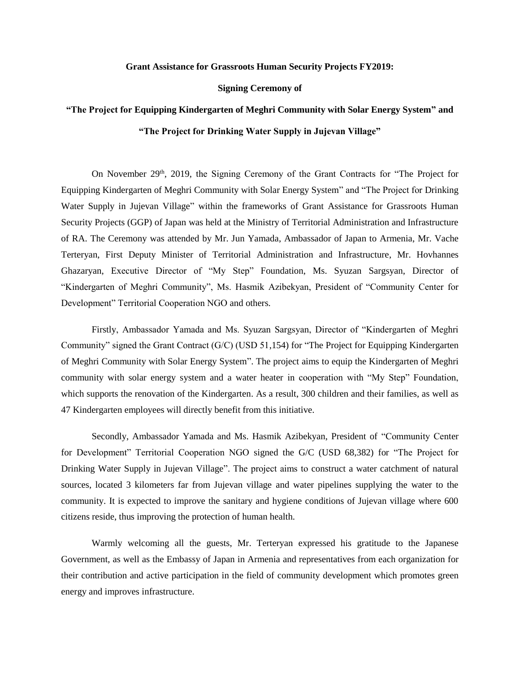## **Grant Assistance for Grassroots Human Security Projects FY2019:**

## **Signing Ceremony of**

## **"The Project for Equipping Kindergarten of Meghri Community with Solar Energy System" and "The Project for Drinking Water Supply in Jujevan Village"**

On November 29<sup>th</sup>, 2019, the Signing Ceremony of the Grant Contracts for "The Project for Equipping Kindergarten of Meghri Community with Solar Energy System" and "The Project for Drinking Water Supply in Jujevan Village" within the frameworks of Grant Assistance for Grassroots Human Security Projects (GGP) of Japan was held at the Ministry of Territorial Administration and Infrastructure of RA. The Ceremony was attended by Mr. Jun Yamada, Ambassador of Japan to Armenia, Mr. Vache Terteryan, First Deputy Minister of Territorial Administration and Infrastructure, Mr. Hovhannes Ghazaryan, Executive Director of "My Step" Foundation, Ms. Syuzan Sargsyan, Director of "Kindergarten of Meghri Community", Ms. Hasmik Azibekyan, President of "Community Center for Development" Territorial Cooperation NGO and others.

Firstly, Ambassador Yamada and Ms. Syuzan Sargsyan, Director of "Kindergarten of Meghri Community" signed the Grant Contract (G/C) (USD 51,154) for "The Project for Equipping Kindergarten of Meghri Community with Solar Energy System". The project aims to equip the Kindergarten of Meghri community with solar energy system and a water heater in cooperation with "My Step" Foundation, which supports the renovation of the Kindergarten. As a result, 300 children and their families, as well as 47 Kindergarten employees will directly benefit from this initiative.

Secondly, Ambassador Yamada and Ms. Hasmik Azibekyan, President of "Community Center for Development" Territorial Cooperation NGO signed the G/C (USD 68,382) for "The Project for Drinking Water Supply in Jujevan Village". The project aims to construct a water catchment of natural sources, located 3 kilometers far from Jujevan village and water pipelines supplying the water to the community. It is expected to improve the sanitary and hygiene conditions of Jujevan village where 600 citizens reside, thus improving the protection of human health.

Warmly welcoming all the guests, Mr. Terteryan expressed his gratitude to the Japanese Government, as well as the Embassy of Japan in Armenia and representatives from each organization for their contribution and active participation in the field of community development which promotes green energy and improves infrastructure.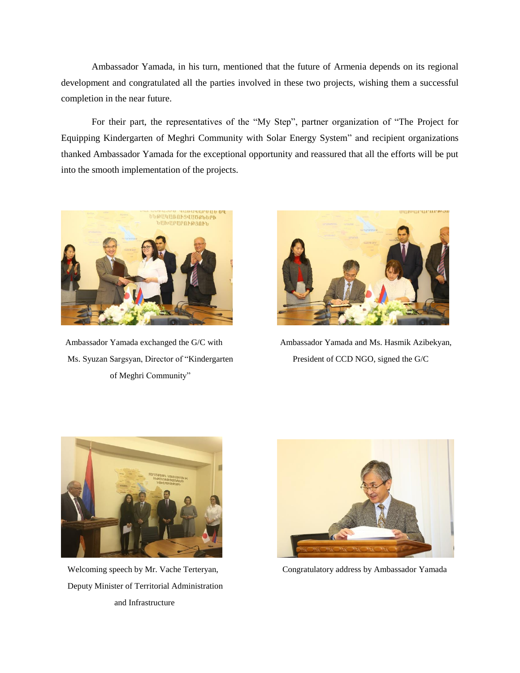Ambassador Yamada, in his turn, mentioned that the future of Armenia depends on its regional development and congratulated all the parties involved in these two projects, wishing them a successful completion in the near future.

For their part, the representatives of the "My Step", partner organization of "The Project for Equipping Kindergarten of Meghri Community with Solar Energy System" and recipient organizations thanked Ambassador Yamada for the exceptional opportunity and reassured that all the efforts will be put into the smooth implementation of the projects.



 Ms. Syuzan Sargsyan, Director of "Kindergarten President of CCD NGO, signed the G/C of Meghri Community"



Ambassador Yamada exchanged the G/C with Ambassador Yamada and Ms. Hasmik Azibekyan,



 Deputy Minister of Territorial Administration and Infrastructure



Welcoming speech by Mr. Vache Terteryan, Congratulatory address by Ambassador Yamada